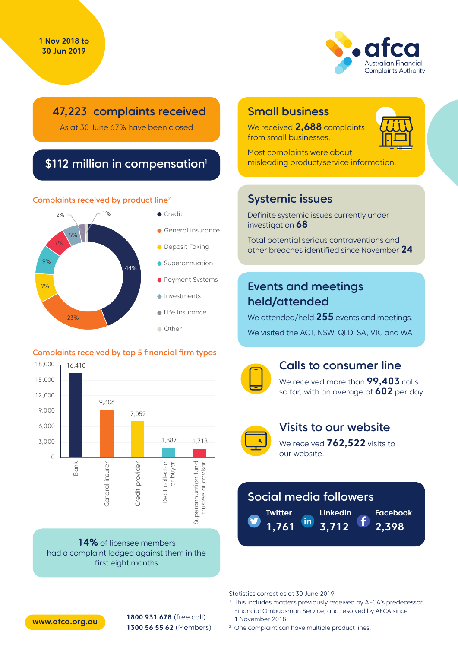

### 47,223 complaints received

As at 30 June 67% have been closed

### \$112 million in compensation<sup>1</sup>

#### Complaints received by product line2



#### Complaints received by top 5 financial firm types



**14%** of licensee members had a complaint lodged against them in the first eight months

### Small business

We received **2,688** complaints from small businesses.



Most complaints were about misleading product/service information.

### Systemic issues

Definite systemic issues currently under investigation **68**

Total potential serious contraventions and other breaches identified since November **24**

### Events and meetings held/attended

We attended/held **255** events and meetings. We visited the ACT, NSW, QLD, SA, VIC and WA



#### Calls to consumer line

We received more than **99,403** calls so far, with an average of **602** per day.



#### Visits to our website

We received **762,522** visits to our website.

# Social media followers

**LinkedIn Twitter** in. **1,761 3,712**

**Facebook 2,398**

Statistics correct as at 30 June 2019

- <sup>1</sup> This includes matters previously received by AFCA's predecessor, Financial Ombudsman Service, and resolved by AFCA since 1 November 2018.
- <sup>2</sup> One complaint can have multiple product lines.



**1800 931 678** (free call) **1300 56 55 62** (Members) **www.afca.org.au**